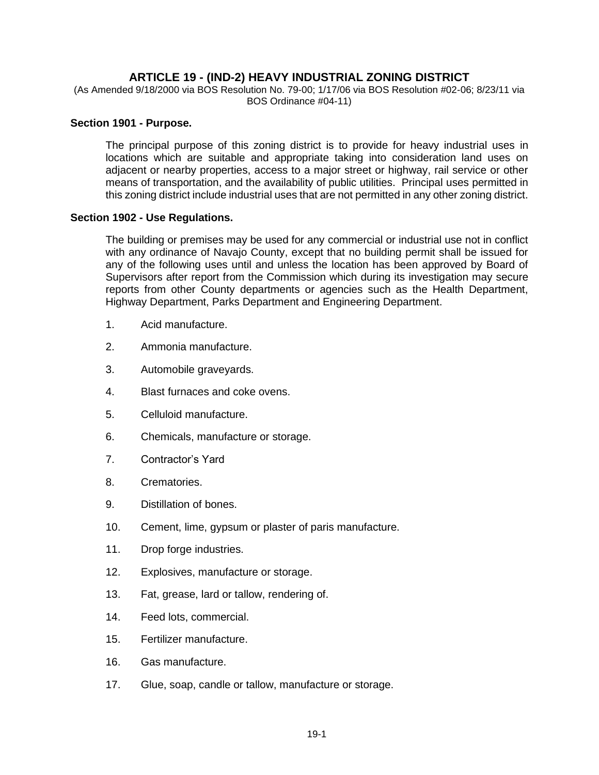# **ARTICLE 19 - (IND-2) HEAVY INDUSTRIAL ZONING DISTRICT**

(As Amended 9/18/2000 via BOS Resolution No. 79-00; 1/17/06 via BOS Resolution #02-06; 8/23/11 via BOS Ordinance #04-11)

#### **Section 1901 - Purpose.**

The principal purpose of this zoning district is to provide for heavy industrial uses in locations which are suitable and appropriate taking into consideration land uses on adjacent or nearby properties, access to a major street or highway, rail service or other means of transportation, and the availability of public utilities. Principal uses permitted in this zoning district include industrial uses that are not permitted in any other zoning district.

### **Section 1902 - Use Regulations.**

The building or premises may be used for any commercial or industrial use not in conflict with any ordinance of Navajo County, except that no building permit shall be issued for any of the following uses until and unless the location has been approved by Board of Supervisors after report from the Commission which during its investigation may secure reports from other County departments or agencies such as the Health Department, Highway Department, Parks Department and Engineering Department.

- 1. Acid manufacture.
- 2. Ammonia manufacture.
- 3. Automobile graveyards.
- 4. Blast furnaces and coke ovens.
- 5. Celluloid manufacture.
- 6. Chemicals, manufacture or storage.
- 7. Contractor's Yard
- 8. Crematories.
- 9. Distillation of bones.
- 10. Cement, lime, gypsum or plaster of paris manufacture.
- 11. Drop forge industries.
- 12. Explosives, manufacture or storage.
- 13. Fat, grease, lard or tallow, rendering of.
- 14. Feed lots, commercial.
- 15. Fertilizer manufacture.
- 16. Gas manufacture.
- 17. Glue, soap, candle or tallow, manufacture or storage.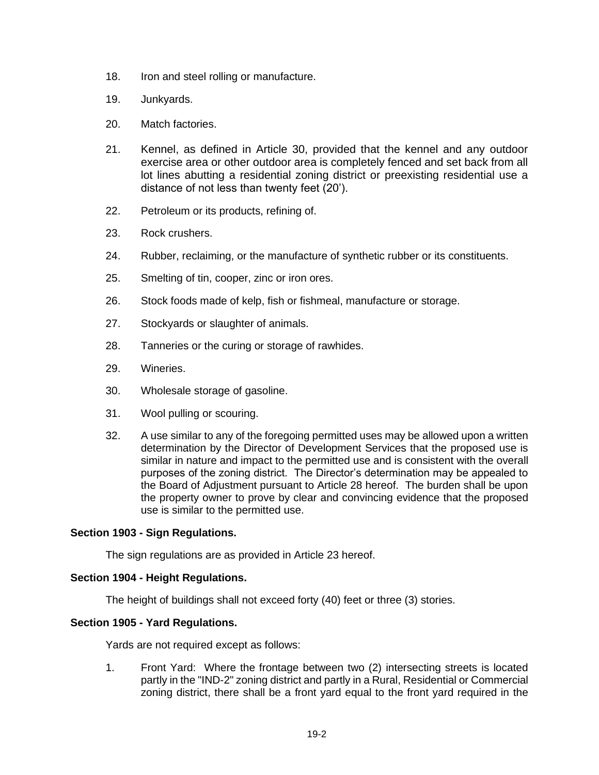- 18. Iron and steel rolling or manufacture.
- 19. Junkyards.
- 20. Match factories.
- 21. Kennel, as defined in Article 30, provided that the kennel and any outdoor exercise area or other outdoor area is completely fenced and set back from all lot lines abutting a residential zoning district or preexisting residential use a distance of not less than twenty feet (20').
- 22. Petroleum or its products, refining of.
- 23. Rock crushers.
- 24. Rubber, reclaiming, or the manufacture of synthetic rubber or its constituents.
- 25. Smelting of tin, cooper, zinc or iron ores.
- 26. Stock foods made of kelp, fish or fishmeal, manufacture or storage.
- 27. Stockyards or slaughter of animals.
- 28. Tanneries or the curing or storage of rawhides.
- 29. Wineries.
- 30. Wholesale storage of gasoline.
- 31. Wool pulling or scouring.
- 32. A use similar to any of the foregoing permitted uses may be allowed upon a written determination by the Director of Development Services that the proposed use is similar in nature and impact to the permitted use and is consistent with the overall purposes of the zoning district. The Director's determination may be appealed to the Board of Adjustment pursuant to Article 28 hereof. The burden shall be upon the property owner to prove by clear and convincing evidence that the proposed use is similar to the permitted use.

#### **Section 1903 - Sign Regulations.**

The sign regulations are as provided in Article 23 hereof.

#### **Section 1904 - Height Regulations.**

The height of buildings shall not exceed forty (40) feet or three (3) stories.

#### **Section 1905 - Yard Regulations.**

Yards are not required except as follows:

1. Front Yard: Where the frontage between two (2) intersecting streets is located partly in the "IND-2" zoning district and partly in a Rural, Residential or Commercial zoning district, there shall be a front yard equal to the front yard required in the